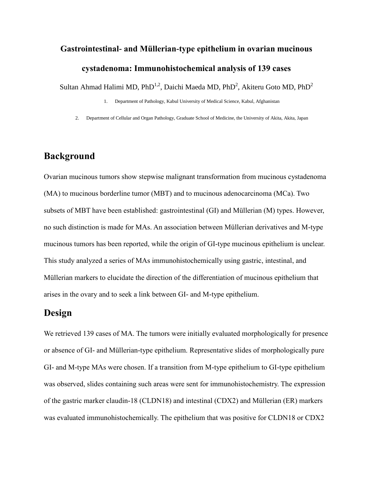# **Gastrointestinal- and Müllerian-type epithelium in ovarian mucinous**

### **cystadenoma: Immunohistochemical analysis of 139 cases**

Sultan Ahmad Halimi MD, PhD<sup>1,2</sup>, Daichi Maeda MD, PhD<sup>2</sup>, Akiteru Goto MD, PhD<sup>2</sup>

- 1. Department of Pathology, Kabul University of Medical Science, Kabul, Afghanistan
- 2. Department of Cellular and Organ Pathology, Graduate School of Medicine, the University of Akita, Akita, Japan

## **Background**

Ovarian mucinous tumors show stepwise malignant transformation from mucinous cystadenoma (MA) to mucinous borderline tumor (MBT) and to mucinous adenocarcinoma (MCa). Two subsets of MBT have been established: gastrointestinal (GI) and Müllerian (M) types. However, no such distinction is made for MAs. An association between Müllerian derivatives and M-type mucinous tumors has been reported, while the origin of GI-type mucinous epithelium is unclear. This study analyzed a series of MAs immunohistochemically using gastric, intestinal, and Müllerian markers to elucidate the direction of the differentiation of mucinous epithelium that arises in the ovary and to seek a link between GI- and M-type epithelium.

## **Design**

We retrieved 139 cases of MA. The tumors were initially evaluated morphologically for presence or absence of GI- and Müllerian-type epithelium. Representative slides of morphologically pure GI- and M-type MAs were chosen. If a transition from M-type epithelium to GI-type epithelium was observed, slides containing such areas were sent for immunohistochemistry. The expression of the gastric marker claudin-18 (CLDN18) and intestinal (CDX2) and Müllerian (ER) markers was evaluated immunohistochemically. The epithelium that was positive for CLDN18 or CDX2